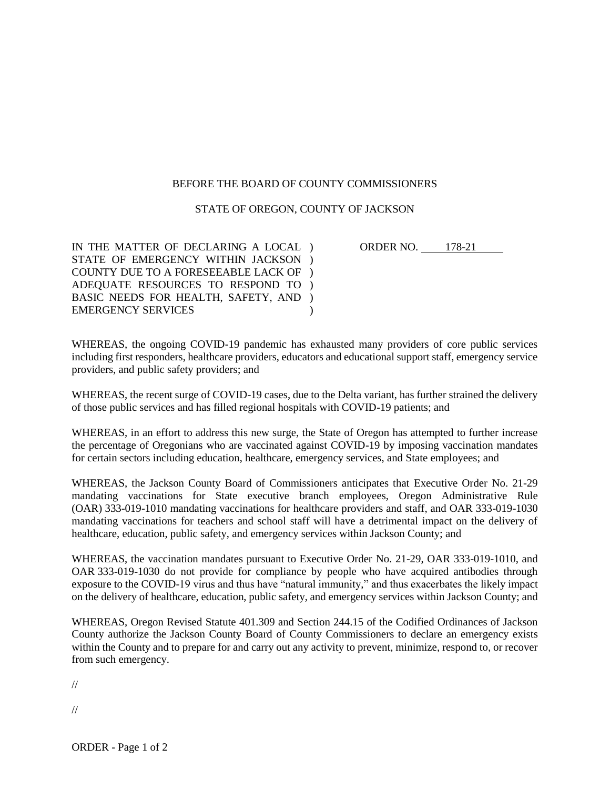## BEFORE THE BOARD OF COUNTY COMMISSIONERS

## STATE OF OREGON, COUNTY OF JACKSON

IN THE MATTER OF DECLARING A LOCAL ) STATE OF EMERGENCY WITHIN JACKSON ) COUNTY DUE TO A FORESEEABLE LACK OF ) ADEQUATE RESOURCES TO RESPOND TO ) BASIC NEEDS FOR HEALTH, SAFETY, AND ) EMERGENCY SERVICES  $\lambda$  ORDER NO. 178-21

WHEREAS, the ongoing COVID-19 pandemic has exhausted many providers of core public services including first responders, healthcare providers, educators and educational support staff, emergency service providers, and public safety providers; and

WHEREAS, the recent surge of COVID-19 cases, due to the Delta variant, has further strained the delivery of those public services and has filled regional hospitals with COVID-19 patients; and

WHEREAS, in an effort to address this new surge, the State of Oregon has attempted to further increase the percentage of Oregonians who are vaccinated against COVID-19 by imposing vaccination mandates for certain sectors including education, healthcare, emergency services, and State employees; and

WHEREAS, the Jackson County Board of Commissioners anticipates that Executive Order No. 21-29 mandating vaccinations for State executive branch employees, Oregon Administrative Rule (OAR) 333-019-1010 mandating vaccinations for healthcare providers and staff, and OAR 333-019-1030 mandating vaccinations for teachers and school staff will have a detrimental impact on the delivery of healthcare, education, public safety, and emergency services within Jackson County; and

WHEREAS, the vaccination mandates pursuant to Executive Order No. 21-29, OAR 333-019-1010, and OAR 333-019-1030 do not provide for compliance by people who have acquired antibodies through exposure to the COVID-19 virus and thus have "natural immunity," and thus exacerbates the likely impact on the delivery of healthcare, education, public safety, and emergency services within Jackson County; and

WHEREAS, Oregon Revised Statute 401.309 and Section 244.15 of the Codified Ordinances of Jackson County authorize the Jackson County Board of County Commissioners to declare an emergency exists within the County and to prepare for and carry out any activity to prevent, minimize, respond to, or recover from such emergency.

//

//